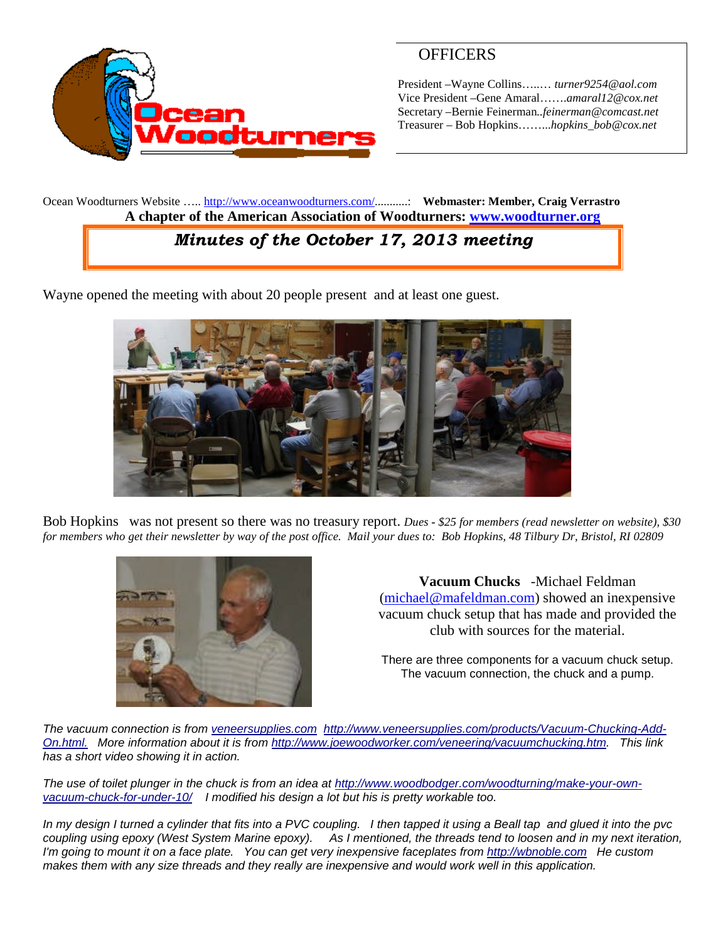

### **OFFICERS**

President –Wayne Collins…..… *turner9254@aol.com* Vice President –Gene Amaral…….*amaral12@cox.net* Secretary –Bernie Feinerman*..feinerman@comcast.net* Treasurer – Bob Hopkins……...*hopkins\_bob@cox.net*

Ocean Woodturners Website ….. <http://www.oceanwoodturners.com/>...........: **Webmaster: Member, Craig Verrastro A chapter of the American Association of Woodturners: [www.woodturner.org](http://www.woodturner.org/)**

# *Minutes of the October 17, 2013 meeting*

Wayne opened the meeting with about 20 people present and at least one guest.



Bob Hopkins was not present so there was no treasury report. *Dues - \$25 for members (read newsletter on website), \$30 for members who get their newsletter by way of the post office. Mail your dues to: Bob Hopkins, 48 Tilbury Dr, Bristol, RI 02809*



**Vacuum Chucks** -Michael Feldman [\(michael@mafeldman.com](mailto:michael@mafeldman.com)) showed an inexpensive vacuum chuck setup that has made and provided the club with sources for the material.

There are three components for a vacuum chuck setup. The vacuum connection, the chuck and a pump.

*The vacuum connection is from [veneersupplies.com](http://veneersupplies.com/) [http://www.veneersupplies.com/products/Vacuum-Chucking-Add-](http://www.veneersupplies.com/products/Vacuum-Chucking-Add-On.html.)[On.html.](http://www.veneersupplies.com/products/Vacuum-Chucking-Add-On.html.) More information about it is from <http://www.joewoodworker.com/veneering/vacuumchucking.htm>. This link has a short video showing it in action.*

*The use of toilet plunger in the chuck is from an idea at [http://www.woodbodger.com/woodturning/make-your-own](http://www.woodbodger.com/woodturning/make-your-own-vacuum-chuck-for-under-10/)[vacuum-chuck-for-under-10/](http://www.woodbodger.com/woodturning/make-your-own-vacuum-chuck-for-under-10/) I modified his design a lot but his is pretty workable too.*

*In my design I turned a cylinder that fits into a PVC coupling. I then tapped it using a Beall tap and glued it into the pvc coupling using epoxy (West System Marine epoxy). As I mentioned, the threads tend to loosen and in my next iteration, I'm going to mount it on a face plate. You can get very inexpensive faceplates from [http://wbnoble.com](http://wbnoble.com/) He custom makes them with any size threads and they really are inexpensive and would work well in this application.*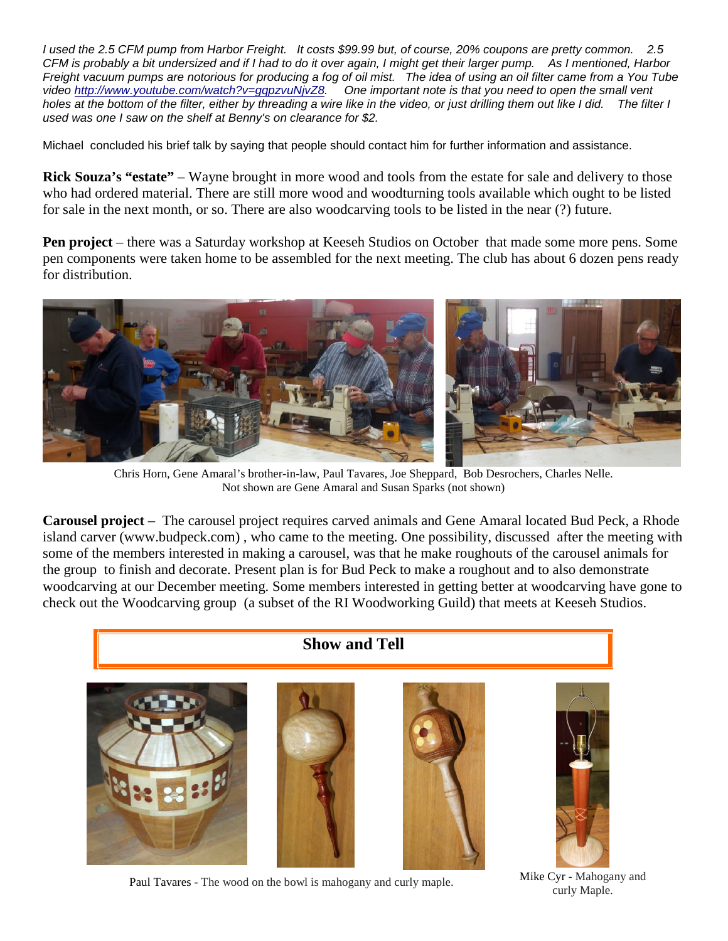*I used the 2.5 CFM pump from Harbor Freight. It costs \$99.99 but, of course, 20% coupons are pretty common. 2.5 CFM is probably a bit undersized and if I had to do it over again, I might get their larger pump. As I mentioned, Harbor Freight vacuum pumps are notorious for producing a fog of oil mist. The idea of using an oil filter came from a You Tube video <http://www.youtube.com/watch?v=gqpzvuNjvZ8>. One important note is that you need to open the small vent holes at the bottom of the filter, either by threading a wire like in the video, or just drilling them out like I did. The filter I used was one I saw on the shelf at Benny's on clearance for \$2.*

Michael concluded his brief talk by saying that people should contact him for further information and assistance.

**Rick Souza's "estate"** – Wayne brought in more wood and tools from the estate for sale and delivery to those who had ordered material. There are still more wood and woodturning tools available which ought to be listed for sale in the next month, or so. There are also woodcarving tools to be listed in the near (?) future.

**Pen project** – there was a Saturday workshop at Keeseh Studios on October that made some more pens. Some pen components were taken home to be assembled for the next meeting. The club has about 6 dozen pens ready for distribution.



Chris Horn, Gene Amaral's brother-in-law, Paul Tavares, Joe Sheppard, Bob Desrochers, Charles Nelle. Not shown are Gene Amaral and Susan Sparks (not shown)

**Carousel project** – The carousel project requires carved animals and Gene Amaral located Bud Peck, a Rhode island carver (www.budpeck.com) , who came to the meeting. One possibility, discussed after the meeting with some of the members interested in making a carousel, was that he make roughouts of the carousel animals for the group to finish and decorate. Present plan is for Bud Peck to make a roughout and to also demonstrate woodcarving at our December meeting. Some members interested in getting better at woodcarving have gone to check out the Woodcarving group (a subset of the RI Woodworking Guild) that meets at Keeseh Studios.



Paul Tavares - The wood on the bowl is mahogany and curly maple. Mike Cyr - Mahogany and

curly Maple.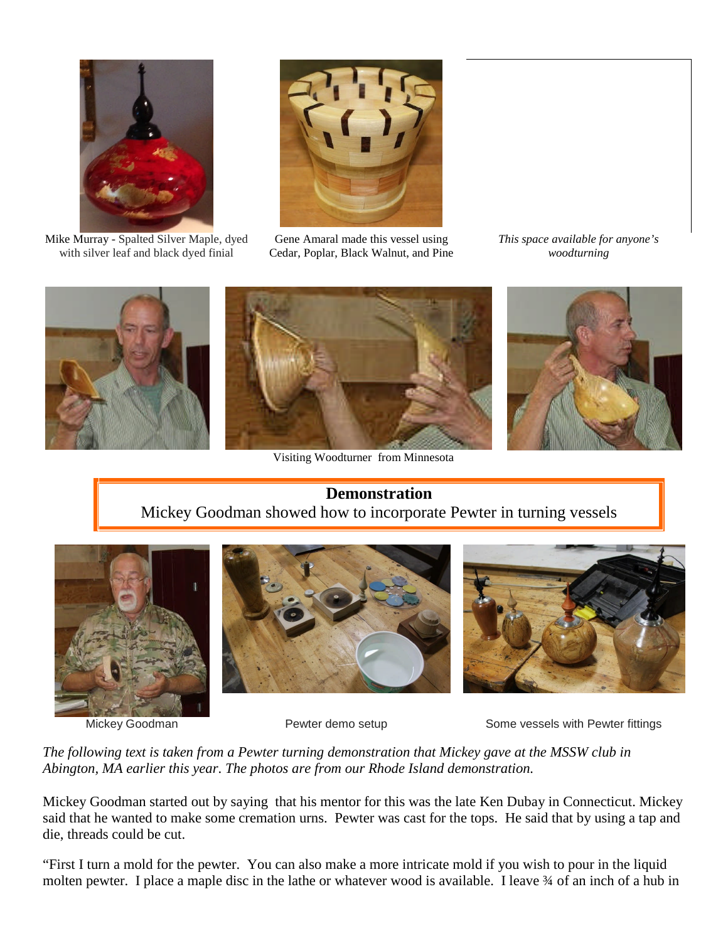

Mike Murray - Spalted Silver Maple, dyed with silver leaf and black dyed finial



Gene Amaral made this vessel using Cedar, Poplar, Black Walnut, and Pine *This space available for anyone's woodturning*



Visiting Woodturner from Minnesota



## **Demonstration** Mickey Goodman showed how to incorporate Pewter in turning vessels







Mickey Goodman **Pewter demo setup** Some vessels with Pewter fittings

*The following text is taken from a Pewter turning demonstration that Mickey gave at the MSSW club in Abington, MA earlier this year*. *The photos are from our Rhode Island demonstration.*

Mickey Goodman started out by saying that his mentor for this was the late Ken Dubay in Connecticut. Mickey said that he wanted to make some cremation urns. Pewter was cast for the tops. He said that by using a tap and die, threads could be cut.

"First I turn a mold for the pewter. You can also make a more intricate mold if you wish to pour in the liquid molten pewter. I place a maple disc in the lathe or whatever wood is available. I leave  $\frac{3}{4}$  of an inch of a hub in